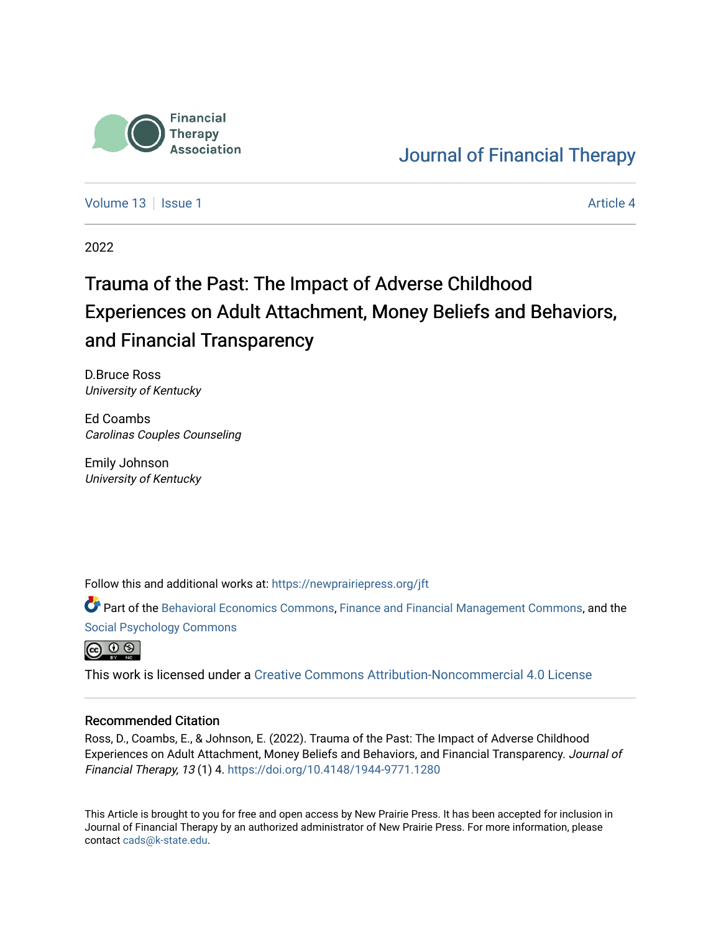

# [Journal of Financial Therapy](https://newprairiepress.org/jft)

[Volume 13](https://newprairiepress.org/jft/vol13) Setup 1 [Article 4](https://newprairiepress.org/jft/vol13/iss1/4) Article 4 Article 4 Article 4 Article 4 Article 4 Article 4

2022

# Trauma of the Past: The Impact of Adverse Childhood Experiences on Adult Attachment, Money Beliefs and Behaviors, and Financial Transparency

D.Bruce Ross University of Kentucky

Ed Coambs Carolinas Couples Counseling

Emily Johnson University of Kentucky

Follow this and additional works at: [https://newprairiepress.org/jft](https://newprairiepress.org/jft?utm_source=newprairiepress.org%2Fjft%2Fvol13%2Fiss1%2F4&utm_medium=PDF&utm_campaign=PDFCoverPages)

Part of the [Behavioral Economics Commons](https://network.bepress.com/hgg/discipline/341?utm_source=newprairiepress.org%2Fjft%2Fvol13%2Fiss1%2F4&utm_medium=PDF&utm_campaign=PDFCoverPages), [Finance and Financial Management Commons,](https://network.bepress.com/hgg/discipline/631?utm_source=newprairiepress.org%2Fjft%2Fvol13%2Fiss1%2F4&utm_medium=PDF&utm_campaign=PDFCoverPages) and the [Social Psychology Commons](https://network.bepress.com/hgg/discipline/414?utm_source=newprairiepress.org%2Fjft%2Fvol13%2Fiss1%2F4&utm_medium=PDF&utm_campaign=PDFCoverPages)



This work is licensed under a [Creative Commons Attribution-Noncommercial 4.0 License](https://creativecommons.org/licenses/by-nc/4.0/)

#### Recommended Citation

Ross, D., Coambs, E., & Johnson, E. (2022). Trauma of the Past: The Impact of Adverse Childhood Experiences on Adult Attachment, Money Beliefs and Behaviors, and Financial Transparency. Journal of Financial Therapy, 13 (1) 4.<https://doi.org/10.4148/1944-9771.1280>

This Article is brought to you for free and open access by New Prairie Press. It has been accepted for inclusion in Journal of Financial Therapy by an authorized administrator of New Prairie Press. For more information, please contact [cads@k-state.edu](mailto:cads@k-state.edu).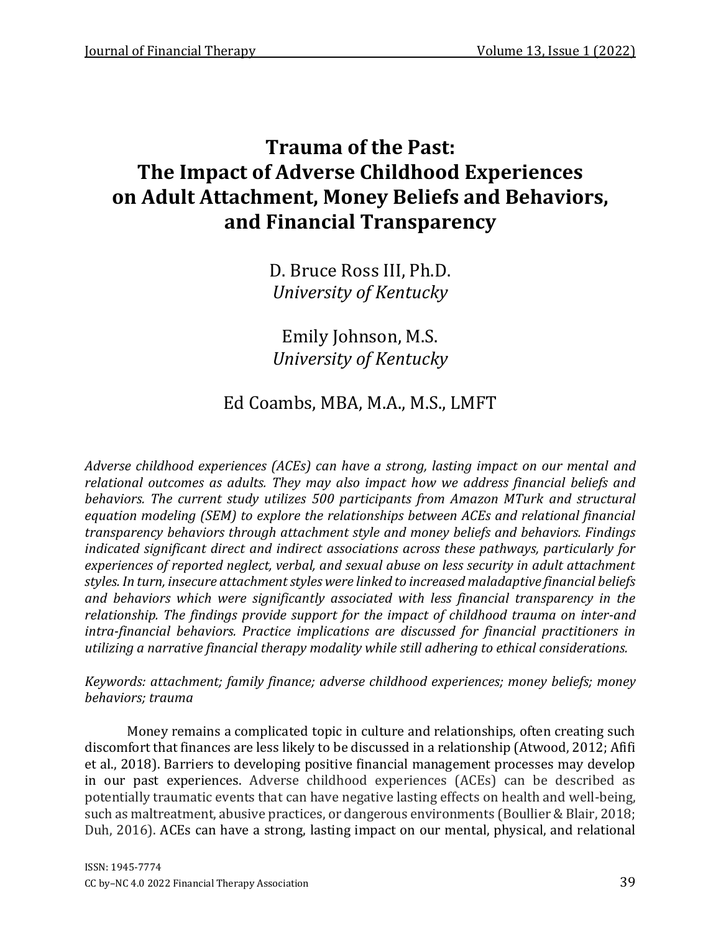# **Trauma of the Past: The Impact of Adverse Childhood Experiences on Adult Attachment, Money Beliefs and Behaviors, and Financial Transparency**

D. Bruce Ross III, Ph.D. *University of Kentucky*

Emily Johnson, M.S. *University of Kentucky*

# Ed Coambs, MBA, M.A., M.S., LMFT

*Adverse childhood experiences (ACEs) can have a strong, lasting impact on our mental and relational outcomes as adults. They may also impact how we address financial beliefs and behaviors. The current study utilizes 500 participants from Amazon MTurk and structural equation modeling (SEM) to explore the relationships between ACEs and relational financial transparency behaviors through attachment style and money beliefs and behaviors. Findings indicated significant direct and indirect associations across these pathways, particularly for experiences of reported neglect, verbal, and sexual abuse on less security in adult attachment styles. In turn, insecure attachment styles were linked to increased maladaptive financial beliefs and behaviors which were significantly associated with less financial transparency in the relationship. The findings provide support for the impact of childhood trauma on inter-and intra-financial behaviors. Practice implications are discussed for financial practitioners in utilizing a narrative financial therapy modality while still adhering to ethical considerations.*

*Keywords: attachment; family finance; adverse childhood experiences; money beliefs; money behaviors; trauma*

Money remains a complicated topic in culture and relationships, often creating such discomfort that finances are less likely to be discussed in a relationship (Atwood, 2012; Afifi et al., 2018). Barriers to developing positive financial management processes may develop in our past experiences. Adverse childhood experiences (ACEs) can be described as potentially traumatic events that can have negative lasting effects on health and well-being, such as maltreatment, abusive practices, or dangerous environments (Boullier & Blair, 2018; Duh, 2016). ACEs can have a strong, lasting impact on our mental, physical, and relational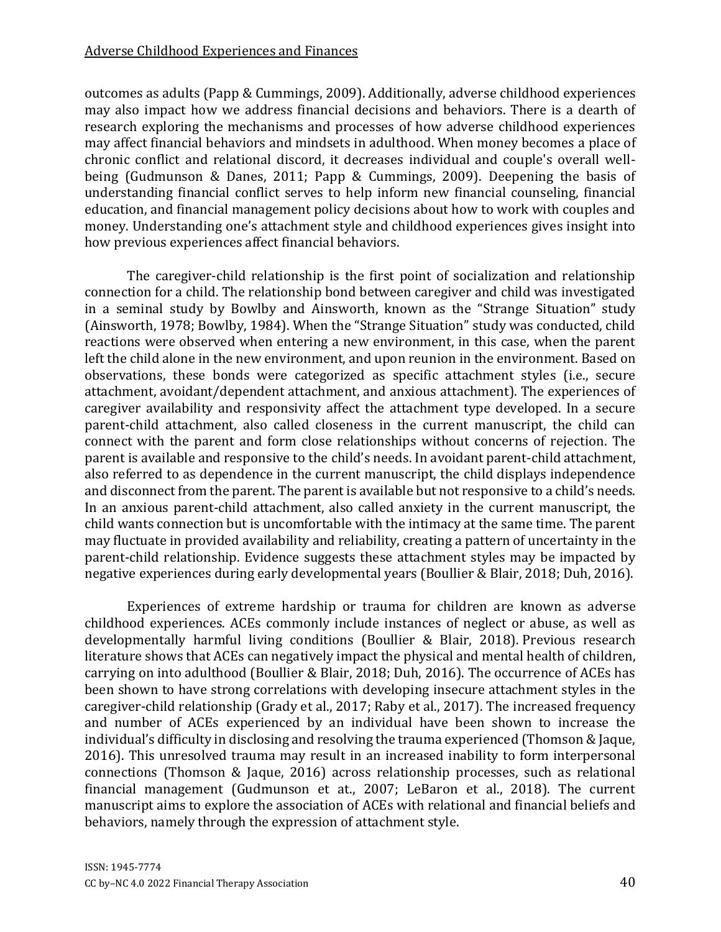#### Adverse Childhood Experiences and Finances

outcomes as adults (Papp & Cummings, 2009). Additionally, adverse childhood experiences may also impact how we address financial decisions and behaviors. There is a dearth of research exploring the mechanisms and processes of how adverse childhood experiences may affect financial behaviors and mindsets in adulthood. When money becomes a place of chronic conflict and relational discord, it decreases individual and couple's overall wellbeing (Gudmunson & Danes, 2011; Papp & Cummings, 2009). Deepening the basis of understanding financial conflict serves to help inform new financial counseling, financial education, and financial management policy decisions about how to work with couples and money. Understanding one's attachment style and childhood experiences gives insight into how previous experiences affect financial behaviors.

The caregiver-child relationship is the first point of socialization and relationship connection for a child. The relationship bond between caregiver and child was investigated in a seminal study by Bowlby and Ainsworth, known as the "Strange Situation" study (Ainsworth, 1978; Bowlby, 1984). When the "Strange Situation" study was conducted, child reactions were observed when entering a new environment, in this case, when the parent left the child alone in the new environment, and upon reunion in the environment. Based on observations, these bonds were categorized as specific attachment styles (i.e., secure attachment, avoidant/dependent attachment, and anxious attachment). The experiences of caregiver availability and responsivity affect the attachment type developed. In a secure parent-child attachment, also called closeness in the current manuscript, the child can connect with the parent and form close relationships without concerns of rejection. The parent is available and responsive to the child's needs. In avoidant parent-child attachment, also referred to as dependence in the current manuscript, the child displays independence and disconnect from the parent. The parent is available but not responsive to a child's needs. In an anxious parent-child attachment, also called anxiety in the current manuscript, the child wants connection but is uncomfortable with the intimacy at the same time. The parent may fluctuate in provided availability and reliability, creating a pattern of uncertainty in the parent-child relationship. Evidence suggests these attachment styles may be impacted by negative experiences during early developmental years (Boullier & Blair, 2018; Duh, 2016).

Experiences of extreme hardship or trauma for children are known as adverse childhood experiences. ACEs commonly include instances of neglect or abuse, as well as developmentally harmful living conditions (Boullier & Blair, 2018). Previous research literature shows that ACEs can negatively impact the physical and mental health of children, carrying on into adulthood (Boullier & Blair, 2018; Duh, 2016). The occurrence of ACEs has been shown to have strong correlations with developing insecure attachment styles in the caregiver-child relationship (Grady et al., 2017; Raby et al., 2017). The increased frequency and number of ACEs experienced by an individual have been shown to increase the individual's difficulty in disclosing and resolving the trauma experienced (Thomson & Jaque, 2016). This unresolved trauma may result in an increased inability to form interpersonal connections (Thomson & Jaque, 2016) across relationship processes, such as relational financial management (Gudmunson et at., 2007; LeBaron et al., 2018). The current manuscript aims to explore the association of ACEs with relational and financial beliefs and behaviors, namely through the expression of attachment style.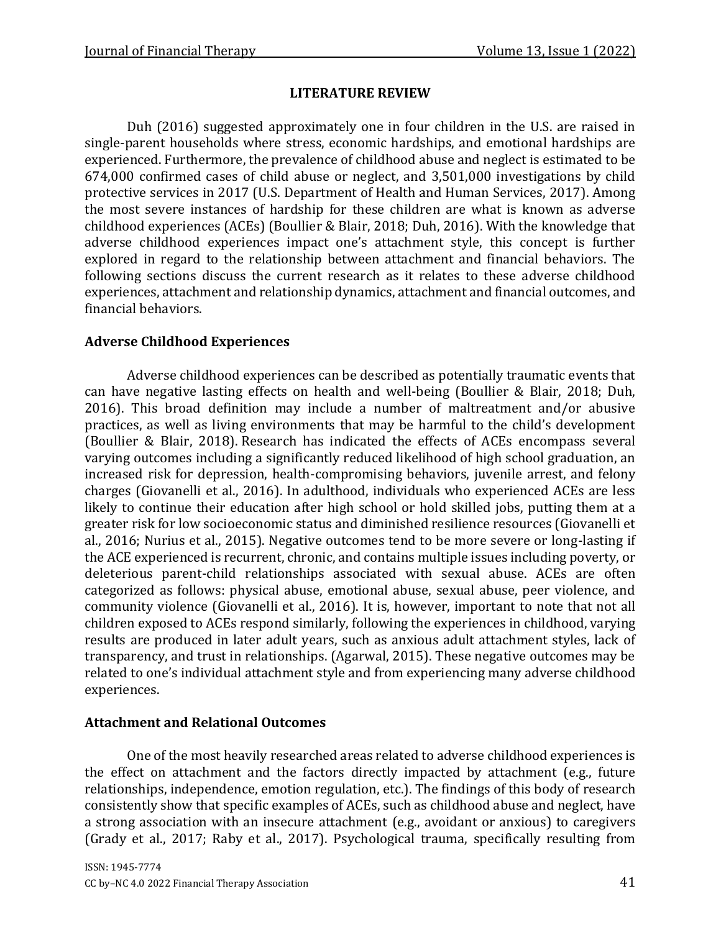#### **LITERATURE REVIEW**

Duh (2016) suggested approximately one in four children in the U.S. are raised in single-parent households where stress, economic hardships, and emotional hardships are experienced. Furthermore, the prevalence of childhood abuse and neglect is estimated to be 674,000 confirmed cases of child abuse or neglect, and 3,501,000 investigations by child protective services in 2017 (U.S. Department of Health and Human Services, 2017). Among the most severe instances of hardship for these children are what is known as adverse childhood experiences (ACEs) (Boullier & Blair, 2018; Duh, 2016). With the knowledge that adverse childhood experiences impact one's attachment style, this concept is further explored in regard to the relationship between attachment and financial behaviors. The following sections discuss the current research as it relates to these adverse childhood experiences, attachment and relationship dynamics, attachment and financial outcomes, and financial behaviors.

#### **Adverse Childhood Experiences**

Adverse childhood experiences can be described as potentially traumatic events that can have negative lasting effects on health and well-being (Boullier & Blair, 2018; Duh, 2016). This broad definition may include a number of maltreatment and/or abusive practices, as well as living environments that may be harmful to the child's development (Boullier & Blair, 2018). Research has indicated the effects of ACEs encompass several varying outcomes including a significantly reduced likelihood of high school graduation, an increased risk for depression, health-compromising behaviors, juvenile arrest, and felony charges (Giovanelli et al., 2016). In adulthood, individuals who experienced ACEs are less likely to continue their education after high school or hold skilled jobs, putting them at a greater risk for low socioeconomic status and diminished resilience resources (Giovanelli et al., 2016; Nurius et al., 2015). Negative outcomes tend to be more severe or long-lasting if the ACE experienced is recurrent, chronic, and contains multiple issues including poverty, or deleterious parent-child relationships associated with sexual abuse. ACEs are often categorized as follows: physical abuse, emotional abuse, sexual abuse, peer violence, and community violence (Giovanelli et al., 2016). It is, however, important to note that not all children exposed to ACEs respond similarly, following the experiences in childhood, varying results are produced in later adult years, such as anxious adult attachment styles, lack of transparency, and trust in relationships. (Agarwal, 2015). These negative outcomes may be related to one's individual attachment style and from experiencing many adverse childhood experiences.

#### **Attachment and Relational Outcomes**

One of the most heavily researched areas related to adverse childhood experiences is the effect on attachment and the factors directly impacted by attachment (e.g., future relationships, independence, emotion regulation, etc.). The findings of this body of research consistently show that specific examples of ACEs, such as childhood abuse and neglect, have a strong association with an insecure attachment (e.g., avoidant or anxious) to caregivers (Grady et al., 2017; Raby et al., 2017). Psychological trauma, specifically resulting from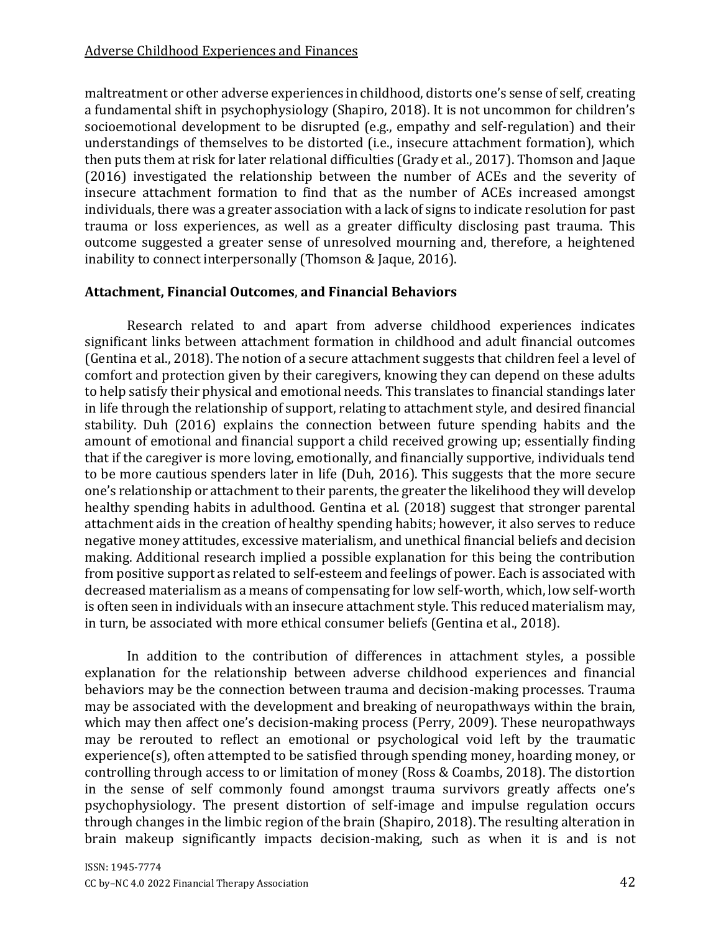maltreatment or other adverse experiences in childhood, distorts one's sense of self, creating a fundamental shift in psychophysiology (Shapiro, 2018). It is not uncommon for children's socioemotional development to be disrupted (e.g., empathy and self-regulation) and their understandings of themselves to be distorted (i.e., insecure attachment formation), which then puts them at risk for later relational difficulties (Grady et al., 2017). Thomson and Jaque (2016) investigated the relationship between the number of ACEs and the severity of insecure attachment formation to find that as the number of ACEs increased amongst individuals, there was a greater association with a lack of signs to indicate resolution for past trauma or loss experiences, as well as a greater difficulty disclosing past trauma. This outcome suggested a greater sense of unresolved mourning and, therefore, a heightened inability to connect interpersonally (Thomson & Jaque, 2016).

# **Attachment, Financial Outcomes**, **and Financial Behaviors**

Research related to and apart from adverse childhood experiences indicates significant links between attachment formation in childhood and adult financial outcomes (Gentina et al., 2018). The notion of a secure attachment suggests that children feel a level of comfort and protection given by their caregivers, knowing they can depend on these adults to help satisfy their physical and emotional needs. This translates to financial standings later in life through the relationship of support, relating to attachment style, and desired financial stability. Duh (2016) explains the connection between future spending habits and the amount of emotional and financial support a child received growing up; essentially finding that if the caregiver is more loving, emotionally, and financially supportive, individuals tend to be more cautious spenders later in life (Duh, 2016). This suggests that the more secure one's relationship or attachment to their parents, the greater the likelihood they will develop healthy spending habits in adulthood. Gentina et al. (2018) suggest that stronger parental attachment aids in the creation of healthy spending habits; however, it also serves to reduce negative money attitudes, excessive materialism, and unethical financial beliefs and decision making. Additional research implied a possible explanation for this being the contribution from positive support as related to self-esteem and feelings of power. Each is associated with decreased materialism as a means of compensating for low self-worth, which, low self-worth is often seen in individuals with an insecure attachment style. This reduced materialism may, in turn, be associated with more ethical consumer beliefs (Gentina et al., 2018).

In addition to the contribution of differences in attachment styles, a possible explanation for the relationship between adverse childhood experiences and financial behaviors may be the connection between trauma and decision-making processes. Trauma may be associated with the development and breaking of neuropathways within the brain, which may then affect one's decision-making process (Perry, 2009). These neuropathways may be rerouted to reflect an emotional or psychological void left by the traumatic experience(s), often attempted to be satisfied through spending money, hoarding money, or controlling through access to or limitation of money (Ross & Coambs, 2018). The distortion in the sense of self commonly found amongst trauma survivors greatly affects one's psychophysiology. The present distortion of self-image and impulse regulation occurs through changes in the limbic region of the brain (Shapiro, 2018). The resulting alteration in brain makeup significantly impacts decision-making, such as when it is and is not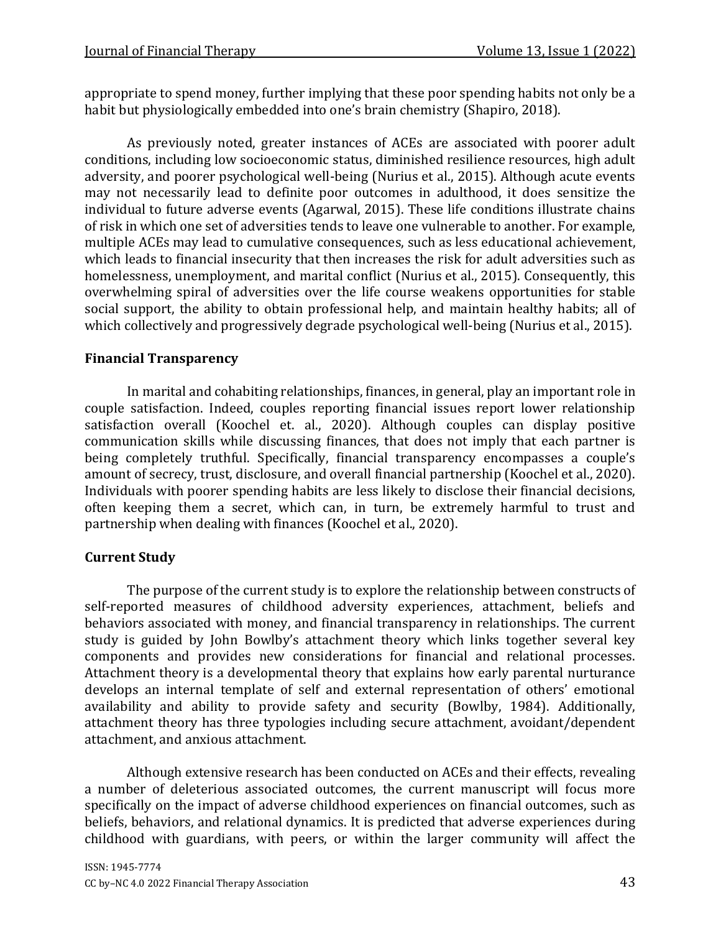appropriate to spend money, further implying that these poor spending habits not only be a habit but physiologically embedded into one's brain chemistry (Shapiro, 2018).

As previously noted, greater instances of ACEs are associated with poorer adult conditions, including low socioeconomic status, diminished resilience resources, high adult adversity, and poorer psychological well-being (Nurius et al., 2015). Although acute events may not necessarily lead to definite poor outcomes in adulthood, it does sensitize the individual to future adverse events (Agarwal, 2015). These life conditions illustrate chains of risk in which one set of adversities tends to leave one vulnerable to another. For example, multiple ACEs may lead to cumulative consequences, such as less educational achievement, which leads to financial insecurity that then increases the risk for adult adversities such as homelessness, unemployment, and marital conflict (Nurius et al., 2015). Consequently, this overwhelming spiral of adversities over the life course weakens opportunities for stable social support, the ability to obtain professional help, and maintain healthy habits; all of which collectively and progressively degrade psychological well-being (Nurius et al., 2015).

# **Financial Transparency**

In marital and cohabiting relationships, finances, in general, play an important role in couple satisfaction. Indeed, couples reporting financial issues report lower relationship satisfaction overall (Koochel et. al., 2020). Although couples can display positive communication skills while discussing finances, that does not imply that each partner is being completely truthful. Specifically, financial transparency encompasses a couple's amount of secrecy, trust, disclosure, and overall financial partnership (Koochel et al., 2020). Individuals with poorer spending habits are less likely to disclose their financial decisions, often keeping them a secret, which can, in turn, be extremely harmful to trust and partnership when dealing with finances (Koochel et al., 2020).

# **Current Study**

The purpose of the current study is to explore the relationship between constructs of self-reported measures of childhood adversity experiences, attachment, beliefs and behaviors associated with money, and financial transparency in relationships. The current study is guided by John Bowlby's attachment theory which links together several key components and provides new considerations for financial and relational processes. Attachment theory is a developmental theory that explains how early parental nurturance develops an internal template of self and external representation of others' emotional availability and ability to provide safety and security (Bowlby, 1984). Additionally, attachment theory has three typologies including secure attachment, avoidant/dependent attachment, and anxious attachment.

Although extensive research has been conducted on ACEs and their effects, revealing a number of deleterious associated outcomes, the current manuscript will focus more specifically on the impact of adverse childhood experiences on financial outcomes, such as beliefs, behaviors, and relational dynamics. It is predicted that adverse experiences during childhood with guardians, with peers, or within the larger community will affect the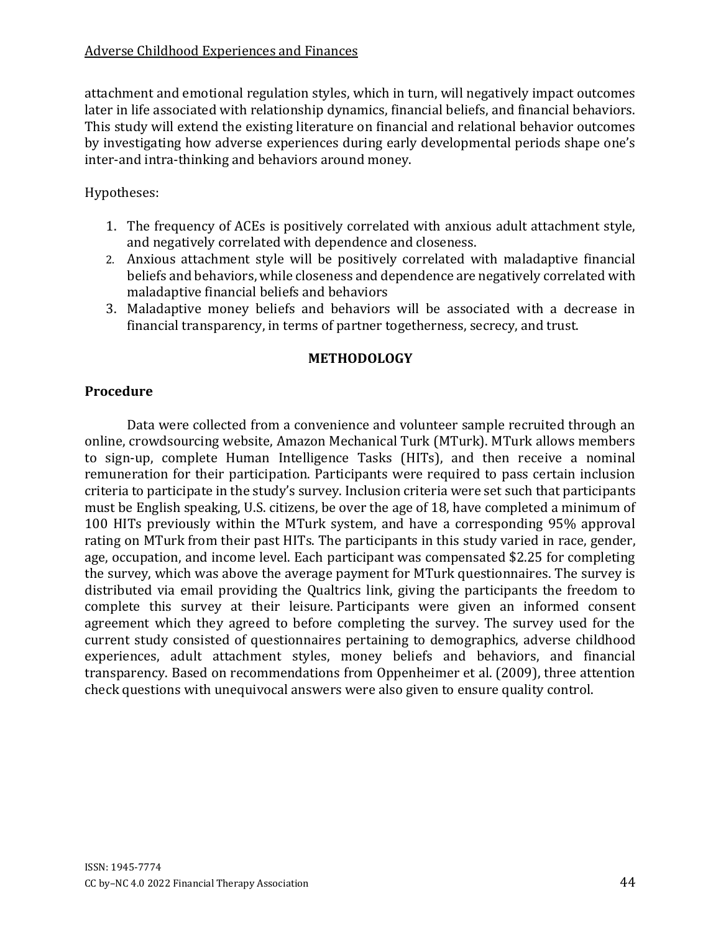#### Adverse Childhood Experiences and Finances

attachment and emotional regulation styles, which in turn, will negatively impact outcomes later in life associated with relationship dynamics, financial beliefs, and financial behaviors. This study will extend the existing literature on financial and relational behavior outcomes by investigating how adverse experiences during early developmental periods shape one's inter-and intra-thinking and behaviors around money.

## Hypotheses:

- 1. The frequency of ACEs is positively correlated with anxious adult attachment style, and negatively correlated with dependence and closeness.
- 2. Anxious attachment style will be positively correlated with maladaptive financial beliefs and behaviors, while closeness and dependence are negatively correlated with maladaptive financial beliefs and behaviors
- 3. Maladaptive money beliefs and behaviors will be associated with a decrease in financial transparency, in terms of partner togetherness, secrecy, and trust.

### **METHODOLOGY**

# **Procedure**

Data were collected from a convenience and volunteer sample recruited through an online, crowdsourcing website, Amazon Mechanical Turk (MTurk). MTurk allows members to sign-up, complete Human Intelligence Tasks (HITs), and then receive a nominal remuneration for their participation. Participants were required to pass certain inclusion criteria to participate in the study's survey. Inclusion criteria were set such that participants must be English speaking, U.S. citizens, be over the age of 18, have completed a minimum of 100 HITs previously within the MTurk system, and have a corresponding 95% approval rating on MTurk from their past HITs. The participants in this study varied in race, gender, age, occupation, and income level. Each participant was compensated \$2.25 for completing the survey, which was above the average payment for MTurk questionnaires. The survey is distributed via email providing the Qualtrics link, giving the participants the freedom to complete this survey at their leisure. Participants were given an informed consent agreement which they agreed to before completing the survey. The survey used for the current study consisted of questionnaires pertaining to demographics, adverse childhood experiences, adult attachment styles, money beliefs and behaviors, and financial transparency. Based on recommendations from Oppenheimer et al. (2009), three attention check questions with unequivocal answers were also given to ensure quality control.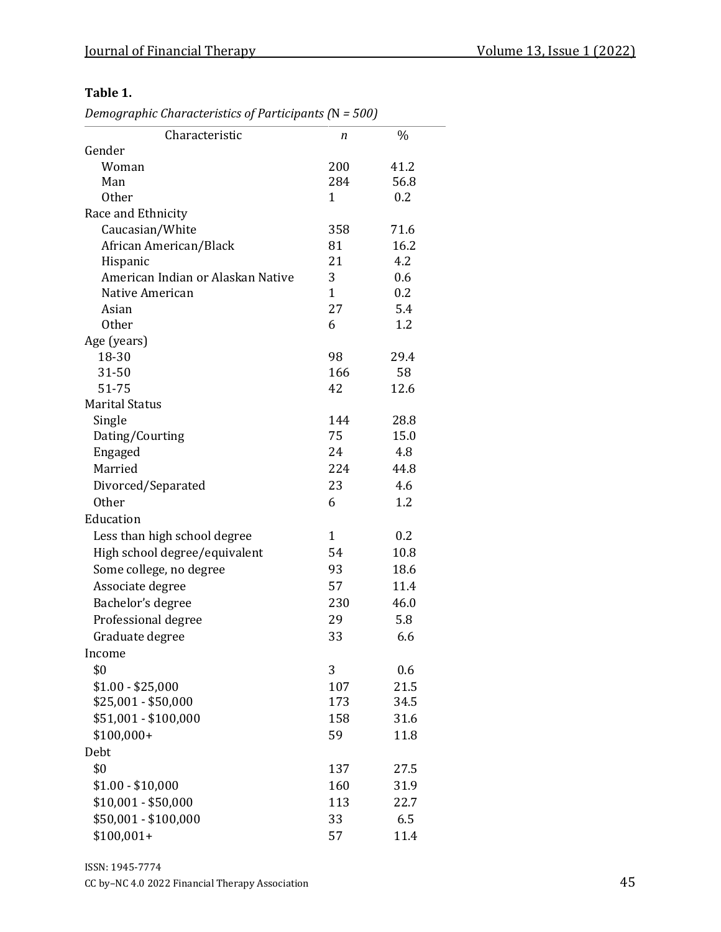### **Table 1.**

*Demographic Characteristics of Participants (*N*= 500)*

| Characteristic                    | n            | $\%$ |
|-----------------------------------|--------------|------|
| Gender                            |              |      |
| Woman                             | 200          | 41.2 |
| Man                               | 284          | 56.8 |
| <b>Other</b>                      | 1            | 0.2  |
| Race and Ethnicity                |              |      |
| Caucasian/White                   | 358          | 71.6 |
| African American/Black            | 81           | 16.2 |
| Hispanic                          | 21           | 4.2  |
| American Indian or Alaskan Native | 3            | 0.6  |
| Native American                   | $\mathbf{1}$ | 0.2  |
| Asian                             | 27           | 5.4  |
| <b>Other</b>                      | 6            | 1.2  |
| Age (years)                       |              |      |
| 18-30                             | 98           | 29.4 |
| 31-50                             | 166          | 58   |
| 51-75                             | 42           | 12.6 |
| <b>Marital Status</b>             |              |      |
| Single                            | 144          | 28.8 |
| Dating/Courting                   | 75           | 15.0 |
| Engaged                           | 24           | 4.8  |
| Married                           | 224          | 44.8 |
| Divorced/Separated                | 23           | 4.6  |
| <b>Other</b>                      | 6            | 1.2  |
| Education                         |              |      |
| Less than high school degree      | 1            | 0.2  |
| High school degree/equivalent     | 54           | 10.8 |
| Some college, no degree           | 93           | 18.6 |
| Associate degree                  | 57           | 11.4 |
| Bachelor's degree                 | 230          | 46.0 |
| Professional degree               | 29           | 5.8  |
| Graduate degree                   | 33           | 6.6  |
| Income                            |              |      |
| \$0                               | 3            | 0.6  |
| $$1.00 - $25,000$                 | 107          | 21.5 |
| \$25,001 - \$50,000               | 173          | 34.5 |
| \$51,001 - \$100,000              | 158          | 31.6 |
| $$100,000+$                       | 59           | 11.8 |
| Debt                              |              |      |
| \$0                               | 137          | 27.5 |
|                                   |              |      |
| $$1.00 - $10,000$                 | 160          | 31.9 |
| $$10,001 - $50,000$               | 113          | 22.7 |
| \$50,001 - \$100,000              | 33           | 6.5  |
| $$100,001+$                       | 57           | 11.4 |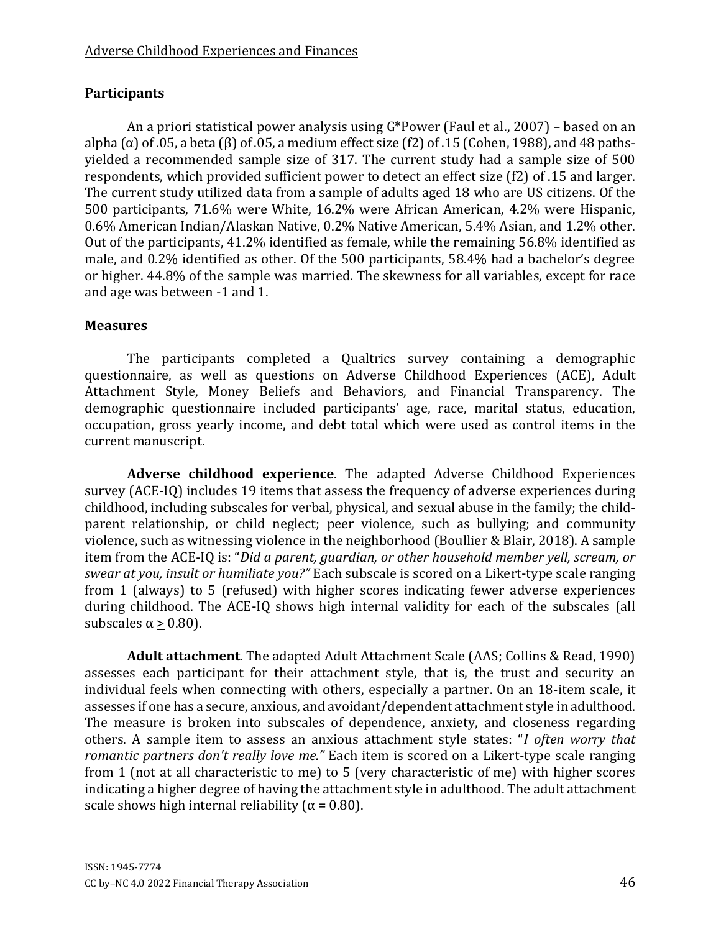# **Participants**

An a priori statistical power analysis using G\*Power (Faul et al., 2007) – based on an alpha ( $\alpha$ ) of .05, a beta ( $\beta$ ) of .05, a medium effect size ( $f2$ ) of .15 (Cohen, 1988), and 48 pathsyielded a recommended sample size of 317. The current study had a sample size of 500 respondents, which provided sufficient power to detect an effect size (f2) of .15 and larger. The current study utilized data from a sample of adults aged 18 who are US citizens. Of the 500 participants, 71.6% were White, 16.2% were African American, 4.2% were Hispanic, 0.6% American Indian/Alaskan Native, 0.2% Native American, 5.4% Asian, and 1.2% other. Out of the participants, 41.2% identified as female, while the remaining 56.8% identified as male, and 0.2% identified as other. Of the 500 participants, 58.4% had a bachelor's degree or higher. 44.8% of the sample was married. The skewness for all variables, except for race and age was between -1 and 1.

# **Measures**

The participants completed a Qualtrics survey containing a demographic questionnaire, as well as questions on Adverse Childhood Experiences (ACE), Adult Attachment Style, Money Beliefs and Behaviors, and Financial Transparency. The demographic questionnaire included participants' age, race, marital status, education, occupation, gross yearly income, and debt total which were used as control items in the current manuscript.

**Adverse childhood experience**. The adapted Adverse Childhood Experiences survey (ACE-IQ) includes 19 items that assess the frequency of adverse experiences during childhood, including subscales for verbal, physical, and sexual abuse in the family; the childparent relationship, or child neglect; peer violence, such as bullying; and community violence, such as witnessing violence in the neighborhood (Boullier & Blair, 2018). A sample item from the ACE-IQ is: "*Did a parent, guardian, or other household member yell, scream, or swear at you, insult or humiliate you?"* Each subscale is scored on a Likert-type scale ranging from 1 (always) to 5 (refused) with higher scores indicating fewer adverse experiences during childhood. The ACE-IQ shows high internal validity for each of the subscales (all subscales  $\alpha \geq 0.80$ ).

**Adult attachment***.* The adapted Adult Attachment Scale (AAS; Collins & Read, 1990) assesses each participant for their attachment style, that is, the trust and security an individual feels when connecting with others, especially a partner. On an 18-item scale, it assesses if one has a secure, anxious, and avoidant/dependent attachment style in adulthood. The measure is broken into subscales of dependence, anxiety, and closeness regarding others. A sample item to assess an anxious attachment style states: "*I often worry that romantic partners don't really love me."* Each item is scored on a Likert-type scale ranging from 1 (not at all characteristic to me) to 5 (very characteristic of me) with higher scores indicating a higher degree of having the attachment style in adulthood. The adult attachment scale shows high internal reliability ( $\alpha = 0.80$ ).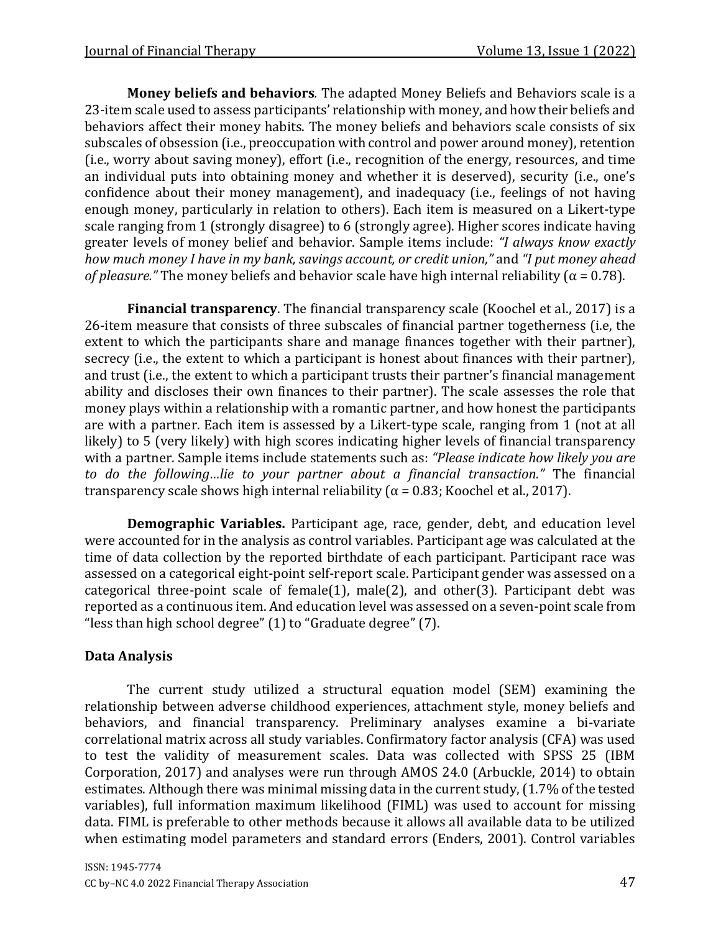**Money beliefs and behaviors***.* The adapted Money Beliefs and Behaviors scale is a 23-item scale used to assess participants' relationship with money, and how their beliefs and behaviors affect their money habits. The money beliefs and behaviors scale consists of six subscales of obsession (i.e., preoccupation with control and power around money), retention (i.e., worry about saving money), effort (i.e., recognition of the energy, resources, and time an individual puts into obtaining money and whether it is deserved), security (i.e., one's confidence about their money management), and inadequacy (i.e., feelings of not having enough money, particularly in relation to others). Each item is measured on a Likert-type scale ranging from 1 (strongly disagree) to 6 (strongly agree). Higher scores indicate having greater levels of money belief and behavior. Sample items include: *"I always know exactly how much money I have in my bank, savings account, or credit union,"* and *"I put money ahead of pleasure."* The money beliefs and behavior scale have high internal reliability ( $\alpha$  = 0.78).

**Financial transparency**. The financial transparency scale (Koochel et al., 2017) is a 26-item measure that consists of three subscales of financial partner togetherness (i.e, the extent to which the participants share and manage finances together with their partner), secrecy (i.e., the extent to which a participant is honest about finances with their partner), and trust (i.e., the extent to which a participant trusts their partner's financial management ability and discloses their own finances to their partner). The scale assesses the role that money plays within a relationship with a romantic partner, and how honest the participants are with a partner. Each item is assessed by a Likert-type scale, ranging from 1 (not at all likely) to 5 (very likely) with high scores indicating higher levels of financial transparency with a partner. Sample items include statements such as: *"Please indicate how likely you are to do the following…lie to your partner about a financial transaction."* The financial transparency scale shows high internal reliability ( $\alpha$  = 0.83; Koochel et al., 2017).

**Demographic Variables.** Participant age, race, gender, debt, and education level were accounted for in the analysis as control variables. Participant age was calculated at the time of data collection by the reported birthdate of each participant. Participant race was assessed on a categorical eight-point self-report scale. Participant gender was assessed on a categorical three-point scale of female(1), male(2), and other(3). Participant debt was reported as a continuous item. And education level was assessed on a seven-point scale from "less than high school degree" (1) to "Graduate degree" (7).

### **Data Analysis**

The current study utilized a structural equation model (SEM) examining the relationship between adverse childhood experiences, attachment style, money beliefs and behaviors, and financial transparency. Preliminary analyses examine a bi-variate correlational matrix across all study variables. Confirmatory factor analysis (CFA) was used to test the validity of measurement scales. Data was collected with SPSS 25 (IBM Corporation, 2017) and analyses were run through AMOS 24.0 (Arbuckle, 2014) to obtain estimates. Although there was minimal missing data in the current study, (1.7% of the tested variables), full information maximum likelihood (FIML) was used to account for missing data. FIML is preferable to other methods because it allows all available data to be utilized when estimating model parameters and standard errors (Enders, 2001). Control variables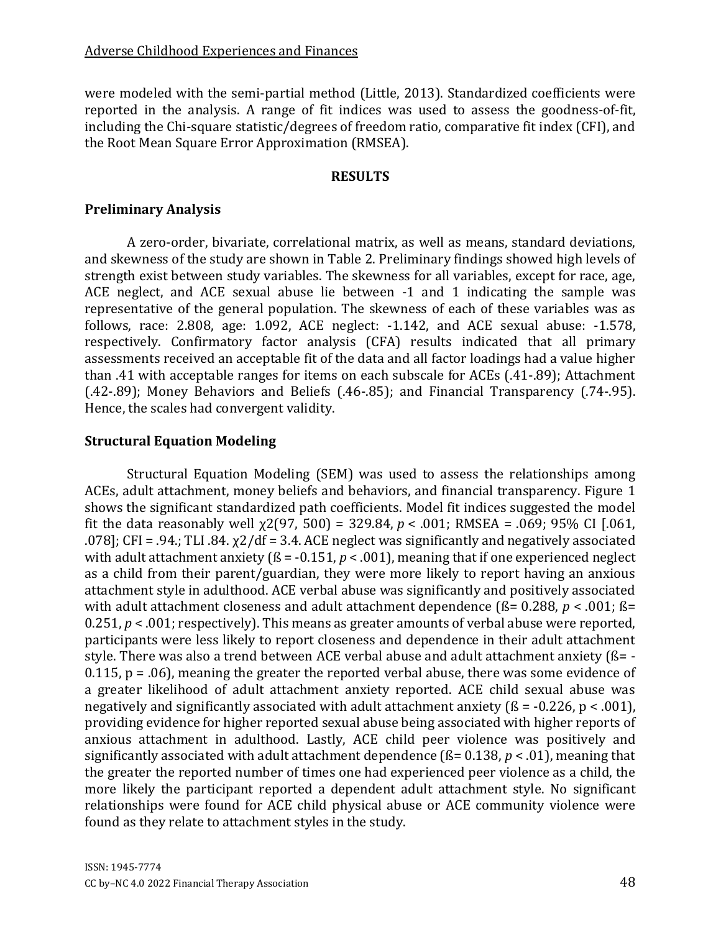were modeled with the semi-partial method (Little, 2013). Standardized coefficients were reported in the analysis. A range of fit indices was used to assess the goodness-of-fit, including the Chi-square statistic/degrees of freedom ratio, comparative fit index (CFI), and the Root Mean Square Error Approximation (RMSEA).

#### **RESULTS**

#### **Preliminary Analysis**

A zero-order, bivariate, correlational matrix, as well as means, standard deviations, and skewness of the study are shown in Table 2. Preliminary findings showed high levels of strength exist between study variables. The skewness for all variables, except for race, age, ACE neglect, and ACE sexual abuse lie between -1 and 1 indicating the sample was representative of the general population. The skewness of each of these variables was as follows, race: 2.808, age: 1.092, ACE neglect: -1.142, and ACE sexual abuse: -1.578, respectively. Confirmatory factor analysis (CFA) results indicated that all primary assessments received an acceptable fit of the data and all factor loadings had a value higher than .41 with acceptable ranges for items on each subscale for ACEs (.41-.89); Attachment (.42-.89); Money Behaviors and Beliefs (.46-.85); and Financial Transparency (.74-.95). Hence, the scales had convergent validity.

### **Structural Equation Modeling**

Structural Equation Modeling (SEM) was used to assess the relationships among ACEs, adult attachment, money beliefs and behaviors, and financial transparency. Figure 1 shows the significant standardized path coefficients. Model fit indices suggested the model fit the data reasonably well  $\chi$ 2(97, 500) = 329.84,  $p < .001$ ; RMSEA = .069; 95% CI [.061, .078]; CFI = .94.; TLI .84.  $\chi$ 2/df = 3.4. ACE neglect was significantly and negatively associated with adult attachment anxiety ( $\beta$  = -0.151,  $p$  < .001), meaning that if one experienced neglect as a child from their parent/guardian, they were more likely to report having an anxious attachment style in adulthood. ACE verbal abuse was significantly and positively associated with adult attachment closeness and adult attachment dependence (ß= 0.288, *p* < .001; ß= 0.251, *p* < .001; respectively). This means as greater amounts of verbal abuse were reported, participants were less likely to report closeness and dependence in their adult attachment style. There was also a trend between ACE verbal abuse and adult attachment anxiety (ß= - 0.115,  $p = .06$ ), meaning the greater the reported verbal abuse, there was some evidence of a greater likelihood of adult attachment anxiety reported. ACE child sexual abuse was negatively and significantly associated with adult attachment anxiety ( $\beta$  = -0.226, p < .001), providing evidence for higher reported sexual abuse being associated with higher reports of anxious attachment in adulthood. Lastly, ACE child peer violence was positively and significantly associated with adult attachment dependence (ß= 0.138, *p* < .01), meaning that the greater the reported number of times one had experienced peer violence as a child, the more likely the participant reported a dependent adult attachment style. No significant relationships were found for ACE child physical abuse or ACE community violence were found as they relate to attachment styles in the study.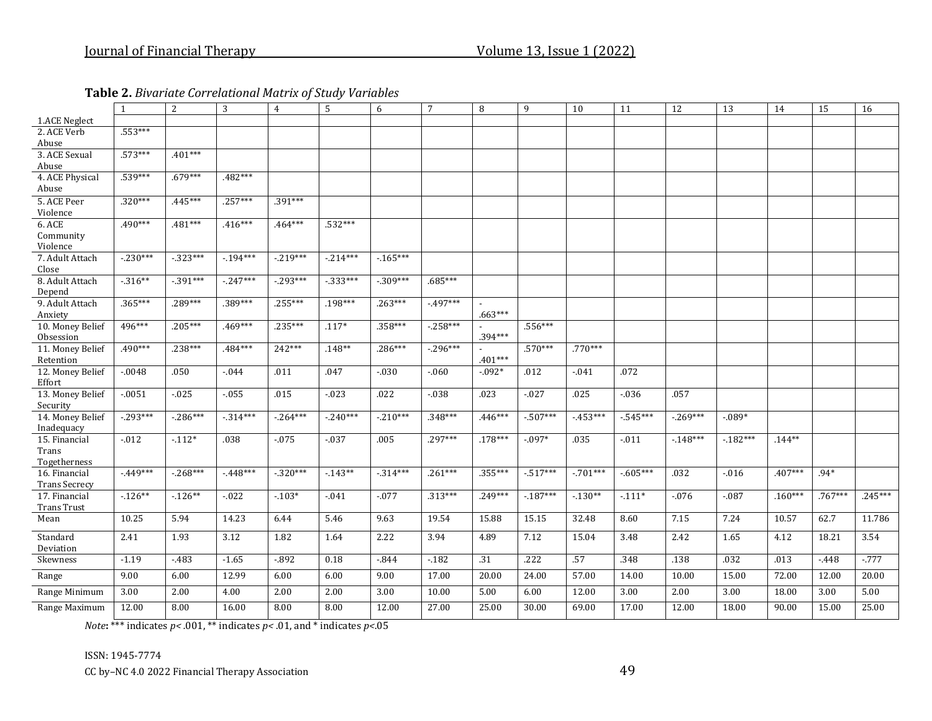**Table 2.** *Bivariate Correlational Matrix of Study Variables*

|                               | 1          | 2           | 3         | $\overline{4}$ | 5         | 6          | $7\overline{ }$ | 8         | 9         | 10        | 11          | 12        | 13        | 14        | 15        | 16        |
|-------------------------------|------------|-------------|-----------|----------------|-----------|------------|-----------------|-----------|-----------|-----------|-------------|-----------|-----------|-----------|-----------|-----------|
| 1.ACE Neglect                 |            |             |           |                |           |            |                 |           |           |           |             |           |           |           |           |           |
| 2. ACE Verb                   | .553***    |             |           |                |           |            |                 |           |           |           |             |           |           |           |           |           |
| Abuse                         |            |             |           |                |           |            |                 |           |           |           |             |           |           |           |           |           |
| 3. ACE Sexual<br>Abuse        | .573***    | $.401***$   |           |                |           |            |                 |           |           |           |             |           |           |           |           |           |
| 4. ACE Physical               | .539***    | $.679***$   | .482***   |                |           |            |                 |           |           |           |             |           |           |           |           |           |
| Abuse                         |            |             |           |                |           |            |                 |           |           |           |             |           |           |           |           |           |
| 5. ACE Peer                   | $.320***$  | $.445***$   | $.257***$ | .391***        |           |            |                 |           |           |           |             |           |           |           |           |           |
| Violence                      |            |             |           |                |           |            |                 |           |           |           |             |           |           |           |           |           |
| 6. ACE                        | .490***    | $.481***$   | $.416***$ | .464***        | .532***   |            |                 |           |           |           |             |           |           |           |           |           |
| Community                     |            |             |           |                |           |            |                 |           |           |           |             |           |           |           |           |           |
| Violence                      |            |             |           |                |           |            |                 |           |           |           |             |           |           |           |           |           |
| 7. Adult Attach               | $-.230***$ | $-323***$   | $-194***$ | $-219***$      | $-214***$ | $-165***$  |                 |           |           |           |             |           |           |           |           |           |
| Close                         |            |             |           |                |           |            |                 |           |           |           |             |           |           |           |           |           |
| 8. Adult Attach               | $-316**$   | $-0.391***$ | $-247***$ | $-293***$      | $-333***$ | $-.309***$ | $.685***$       |           |           |           |             |           |           |           |           |           |
| Depend                        |            |             |           |                |           |            |                 |           |           |           |             |           |           |           |           |           |
| 9. Adult Attach               | .365***    | $.289***$   | .389***   | $.255***$      | $.198***$ | $.263***$  | $-497***$       |           |           |           |             |           |           |           |           |           |
| Anxiety                       |            |             |           |                |           |            |                 | $.663***$ |           |           |             |           |           |           |           |           |
| 10. Money Belief              | 496***     | $.205***$   | .469***   | $.235***$      | $.117*$   | .358***    | $-258***$       | .394***   | $.556***$ |           |             |           |           |           |           |           |
| Obsession                     | .490***    | $.238***$   | .484***   | 242***         | $.148**$  | $.286***$  | $-296***$       |           | $.570***$ | $.770***$ |             |           |           |           |           |           |
| 11. Money Belief<br>Retention |            |             |           |                |           |            |                 | .401***   |           |           |             |           |           |           |           |           |
| 12. Money Belief              | $-0.048$   | .050        | $-0.044$  | .011           | .047      | $-.030$    | $-060$          | $-0.092*$ | .012      | $-0.041$  | .072        |           |           |           |           |           |
| Effort                        |            |             |           |                |           |            |                 |           |           |           |             |           |           |           |           |           |
| 13. Money Belief              | $-0.0051$  | $-0.025$    | $-0.55$   | .015           | $-0.023$  | .022       | $-0.38$         | .023      | $-027$    | .025      | $-0.36$     | .057      |           |           |           |           |
| Security                      |            |             |           |                |           |            |                 |           |           |           |             |           |           |           |           |           |
| 14. Money Belief              | $-293***$  | $-286***$   | $-314***$ | $-0.264***$    | $-240***$ | $-210***$  | .348***         | $.446***$ | $-507***$ | $-453***$ | $-545***$   | $-269***$ | $-0.089*$ |           |           |           |
| Inadequacy                    |            |             |           |                |           |            |                 |           |           |           |             |           |           |           |           |           |
| 15. Financial                 | $-012$     | $-112*$     | .038      | $-075$         | $-.037$   | .005       | .297***         | $.178***$ | $-0.97*$  | .035      | $-.011$     | $-148***$ | $-182***$ | $.144**$  |           |           |
| Trans                         |            |             |           |                |           |            |                 |           |           |           |             |           |           |           |           |           |
| Togetherness                  |            |             |           |                |           |            |                 |           |           |           |             |           |           |           |           |           |
| 16. Financial                 | $-449***$  | $-268***$   | $-448***$ | $-.320***$     | $-143**$  | $-314***$  | $.261***$       | $.355***$ | $-517***$ | $-701***$ | $-0.605***$ | .032      | $-0.016$  | .407***   | $.94*$    |           |
| <b>Trans Secrecy</b>          |            |             |           |                |           |            |                 | $.249***$ | $-187***$ | $-130**$  |             |           |           | $.160***$ |           | $.245***$ |
| 17. Financial                 | $-126**$   | $-126**$    | $-022$    | $-103*$        | $-0.41$   | $-0.077$   | $.313***$       |           |           |           | $-111*$     | $-0.76$   | $-087$    |           | $.767***$ |           |
| <b>Trans Trust</b><br>Mean    | 10.25      | 5.94        | 14.23     | 6.44           | 5.46      | 9.63       | 19.54           | 15.88     | 15.15     | 32.48     | 8.60        | 7.15      | 7.24      | 10.57     | 62.7      | 11.786    |
|                               |            |             |           |                |           |            |                 |           |           |           |             |           |           |           |           |           |
| Standard                      | 2.41       | 1.93        | 3.12      | 1.82           | 1.64      | 2.22       | 3.94            | 4.89      | 7.12      | 15.04     | 3.48        | 2.42      | 1.65      | 4.12      | 18.21     | 3.54      |
| Deviation                     |            |             |           |                |           |            |                 |           |           |           |             |           |           |           |           |           |
| Skewness                      | $-1.19$    | $-483$      | $-1.65$   | $-0.892$       | 0.18      | $-844$     | $-182$          | .31       | .222      | .57       | .348        | .138      | .032      | .013      | $-448$    | $-0.777$  |
| Range                         | 9.00       | 6.00        | 12.99     | 6.00           | 6.00      | 9.00       | 17.00           | 20.00     | 24.00     | 57.00     | 14.00       | 10.00     | 15.00     | 72.00     | 12.00     | 20.00     |
| Range Minimum                 | 3.00       | 2.00        | 4.00      | 2.00           | 2.00      | 3.00       | 10.00           | 5.00      | 6.00      | 12.00     | 3.00        | 2.00      | 3.00      | 18.00     | 3.00      | 5.00      |
| Range Maximum                 | 12.00      | 8.00        | 16.00     | 8.00           | 8.00      | 12.00      | 27.00           | 25.00     | 30.00     | 69.00     | 17.00       | 12.00     | 18.00     | 90.00     | 15.00     | 25.00     |
|                               |            |             |           |                |           |            |                 |           |           |           |             |           |           |           |           |           |

*Note***:** \*\*\* indicates *p< .*001, \*\* indicates *p<* .01, and \* indicates *p<*.05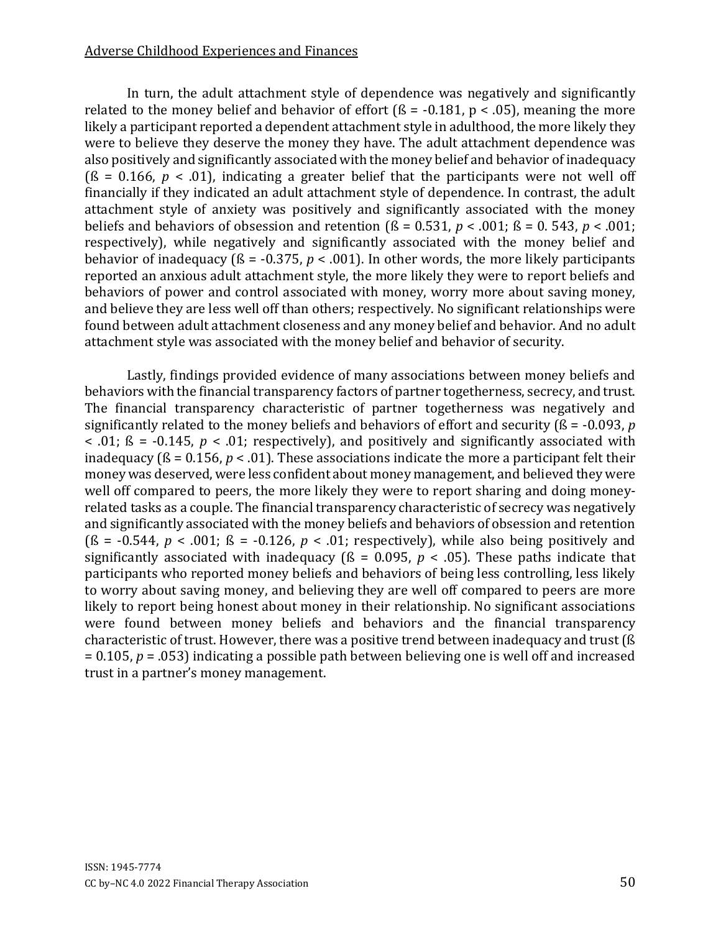#### Adverse Childhood Experiences and Finances

In turn, the adult attachment style of dependence was negatively and significantly related to the money belief and behavior of effort ( $\beta$  = -0.181, p < .05), meaning the more likely a participant reported a dependent attachment style in adulthood, the more likely they were to believe they deserve the money they have. The adult attachment dependence was also positively and significantly associated with the money belief and behavior of inadequacy ( $\beta$  = 0.166,  $p$  < .01), indicating a greater belief that the participants were not well off financially if they indicated an adult attachment style of dependence. In contrast, the adult attachment style of anxiety was positively and significantly associated with the money beliefs and behaviors of obsession and retention ( $\beta$  = 0.531,  $p$  < .001;  $\beta$  = 0.543,  $p$  < .001; respectively), while negatively and significantly associated with the money belief and behavior of inadequacy ( $\beta$  = -0.375,  $p < .001$ ). In other words, the more likely participants reported an anxious adult attachment style, the more likely they were to report beliefs and behaviors of power and control associated with money, worry more about saving money, and believe they are less well off than others; respectively. No significant relationships were found between adult attachment closeness and any money belief and behavior. And no adult attachment style was associated with the money belief and behavior of security.

Lastly, findings provided evidence of many associations between money beliefs and behaviors with the financial transparency factors of partner togetherness, secrecy, and trust. The financial transparency characteristic of partner togetherness was negatively and significantly related to the money beliefs and behaviors of effort and security (ß = -0.093, *p*  $\leq$  .01;  $\beta$  = -0.145,  $p \leq 0.01$ ; respectively), and positively and significantly associated with inadequacy ( $\beta$  = 0.156,  $p < .01$ ). These associations indicate the more a participant felt their money was deserved, were less confident about money management, and believed they were well off compared to peers, the more likely they were to report sharing and doing moneyrelated tasks as a couple. The financial transparency characteristic of secrecy was negatively and significantly associated with the money beliefs and behaviors of obsession and retention  $(S = -0.544, p < .001; S = -0.126, p < .01;$  respectively), while also being positively and significantly associated with inadequacy ( $\beta$  = 0.095,  $p$  < .05). These paths indicate that participants who reported money beliefs and behaviors of being less controlling, less likely to worry about saving money, and believing they are well off compared to peers are more likely to report being honest about money in their relationship. No significant associations were found between money beliefs and behaviors and the financial transparency characteristic of trust. However, there was a positive trend between inadequacy and trust (ß = 0.105, *p* = .053) indicating a possible path between believing one is well off and increased trust in a partner's money management.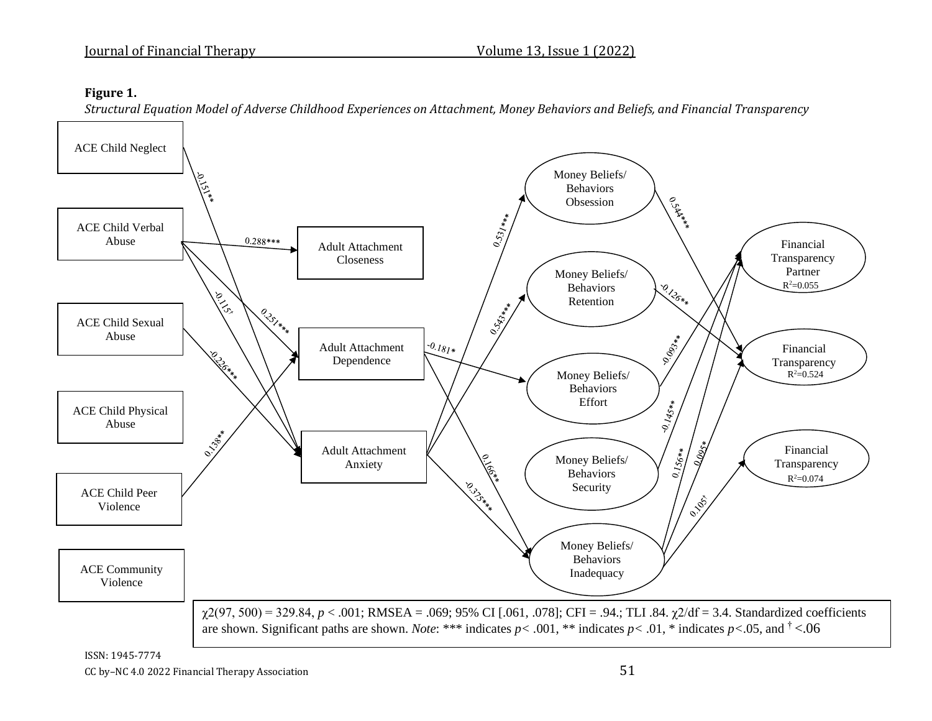#### **Figure 1.**

*Structural Equation Model of Adverse Childhood Experiences on Attachment, Money Behaviors and Beliefs, and Financial Transparency*

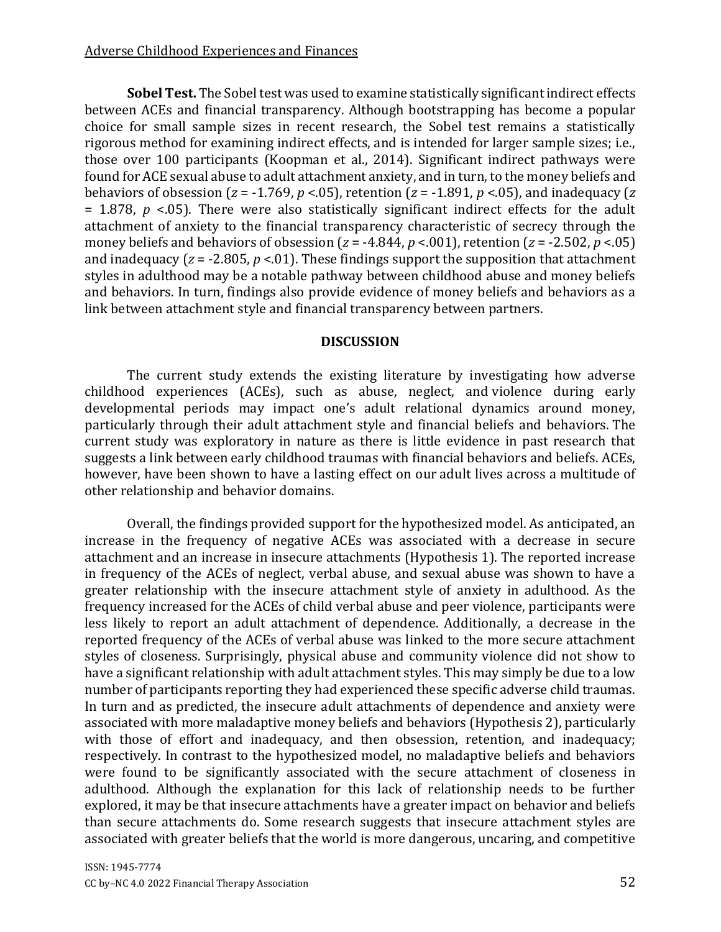**Sobel Test.** The Sobel test was used to examine statistically significant indirect effects between ACEs and financial transparency. Although bootstrapping has become a popular choice for small sample sizes in recent research, the Sobel test remains a statistically rigorous method for examining indirect effects, and is intended for larger sample sizes; i.e., those over 100 participants (Koopman et al., 2014). Significant indirect pathways were found for ACE sexual abuse to adult attachment anxiety, and in turn, to the money beliefs and behaviors of obsession (*z* = -1.769, *p* <.05), retention (*z* = -1.891, *p* <.05), and inadequacy (*z* = 1.878, *p* <.05). There were also statistically significant indirect effects for the adult attachment of anxiety to the financial transparency characteristic of secrecy through the money beliefs and behaviors of obsession ( $z = -4.844$ ,  $p < .001$ ), retention ( $z = -2.502$ ,  $p < .05$ ) and inadequacy  $(z = -2.805, p < 0.01)$ . These findings support the supposition that attachment styles in adulthood may be a notable pathway between childhood abuse and money beliefs and behaviors. In turn, findings also provide evidence of money beliefs and behaviors as a link between attachment style and financial transparency between partners.

#### **DISCUSSION**

The current study extends the existing literature by investigating how adverse childhood experiences (ACEs), such as abuse, neglect, and violence during early developmental periods may impact one's adult relational dynamics around money, particularly through their adult attachment style and financial beliefs and behaviors. The current study was exploratory in nature as there is little evidence in past research that suggests a link between early childhood traumas with financial behaviors and beliefs. ACEs, however, have been shown to have a lasting effect on our adult lives across a multitude of other relationship and behavior domains.

Overall, the findings provided support for the hypothesized model. As anticipated, an increase in the frequency of negative ACEs was associated with a decrease in secure attachment and an increase in insecure attachments (Hypothesis 1). The reported increase in frequency of the ACEs of neglect, verbal abuse, and sexual abuse was shown to have a greater relationship with the insecure attachment style of anxiety in adulthood. As the frequency increased for the ACEs of child verbal abuse and peer violence, participants were less likely to report an adult attachment of dependence. Additionally, a decrease in the reported frequency of the ACEs of verbal abuse was linked to the more secure attachment styles of closeness. Surprisingly, physical abuse and community violence did not show to have a significant relationship with adult attachment styles. This may simply be due to a low number of participants reporting they had experienced these specific adverse child traumas. In turn and as predicted, the insecure adult attachments of dependence and anxiety were associated with more maladaptive money beliefs and behaviors (Hypothesis 2), particularly with those of effort and inadequacy, and then obsession, retention, and inadequacy; respectively. In contrast to the hypothesized model, no maladaptive beliefs and behaviors were found to be significantly associated with the secure attachment of closeness in adulthood. Although the explanation for this lack of relationship needs to be further explored, it may be that insecure attachments have a greater impact on behavior and beliefs than secure attachments do. Some research suggests that insecure attachment styles are associated with greater beliefs that the world is more dangerous, uncaring, and competitive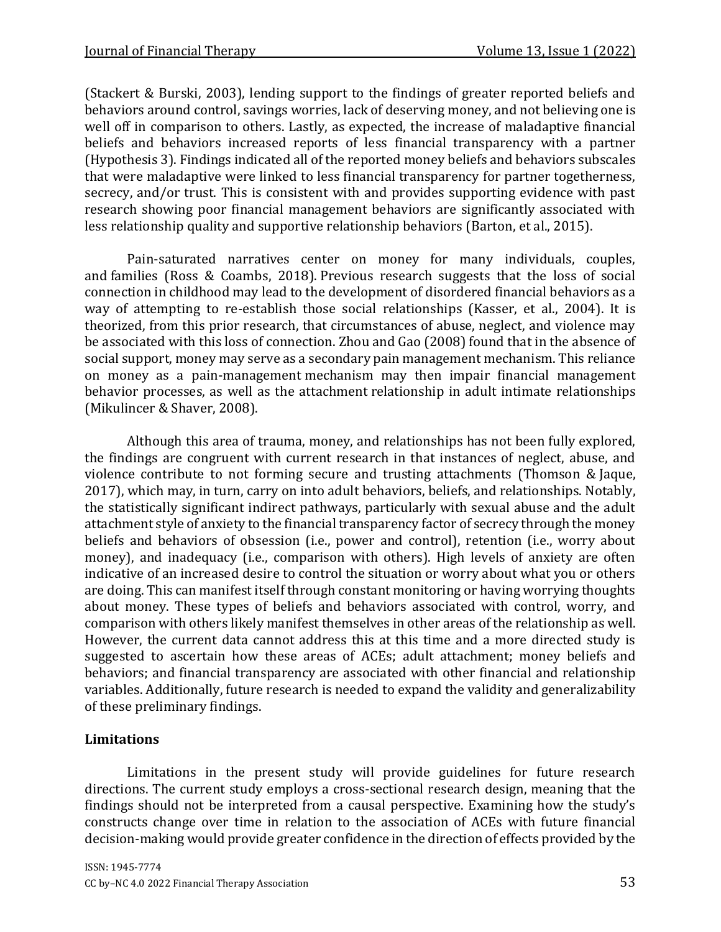(Stackert & Burski, 2003), lending support to the findings of greater reported beliefs and behaviors around control, savings worries, lack of deserving money, and not believing one is well off in comparison to others. Lastly, as expected, the increase of maladaptive financial beliefs and behaviors increased reports of less financial transparency with a partner (Hypothesis 3). Findings indicated all of the reported money beliefs and behaviors subscales that were maladaptive were linked to less financial transparency for partner togetherness, secrecy, and/or trust. This is consistent with and provides supporting evidence with past research showing poor financial management behaviors are significantly associated with less relationship quality and supportive relationship behaviors (Barton, et al., 2015).

Pain-saturated narratives center on money for many individuals, couples, and families (Ross & Coambs, 2018). Previous research suggests that the loss of social connection in childhood may lead to the development of disordered financial behaviors as a way of attempting to re-establish those social relationships (Kasser, et al., 2004). It is theorized, from this prior research, that circumstances of abuse, neglect, and violence may be associated with this loss of connection. Zhou and Gao (2008) found that in the absence of social support, money may serve as a secondary pain management mechanism. This reliance on money as a pain-management mechanism may then impair financial management behavior processes, as well as the attachment relationship in adult intimate relationships (Mikulincer & Shaver, 2008).

Although this area of trauma, money, and relationships has not been fully explored, the findings are congruent with current research in that instances of neglect, abuse, and violence contribute to not forming secure and trusting attachments (Thomson & Jaque, 2017), which may, in turn, carry on into adult behaviors, beliefs, and relationships. Notably, the statistically significant indirect pathways, particularly with sexual abuse and the adult attachment style of anxiety to the financial transparency factor of secrecy through the money beliefs and behaviors of obsession (i.e., power and control), retention (i.e., worry about money), and inadequacy (i.e., comparison with others). High levels of anxiety are often indicative of an increased desire to control the situation or worry about what you or others are doing. This can manifest itself through constant monitoring or having worrying thoughts about money. These types of beliefs and behaviors associated with control, worry, and comparison with others likely manifest themselves in other areas of the relationship as well. However, the current data cannot address this at this time and a more directed study is suggested to ascertain how these areas of ACEs; adult attachment; money beliefs and behaviors; and financial transparency are associated with other financial and relationship variables. Additionally, future research is needed to expand the validity and generalizability of these preliminary findings.

### **Limitations**

Limitations in the present study will provide guidelines for future research directions. The current study employs a cross-sectional research design, meaning that the findings should not be interpreted from a causal perspective. Examining how the study's constructs change over time in relation to the association of ACEs with future financial decision-making would provide greater confidence in the direction of effects provided by the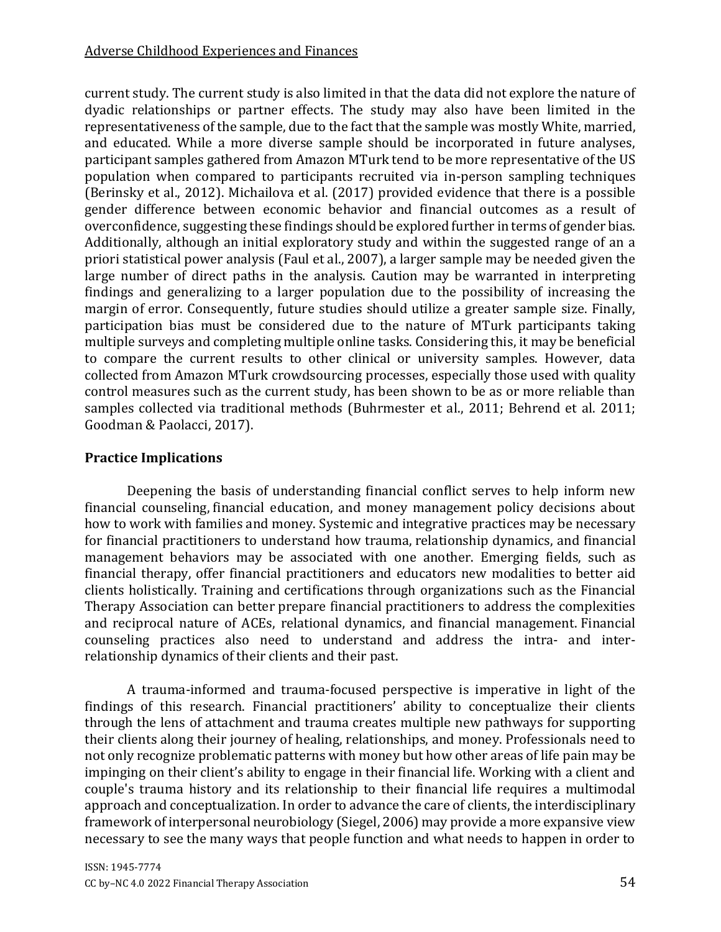current study. The current study is also limited in that the data did not explore the nature of dyadic relationships or partner effects. The study may also have been limited in the representativeness of the sample, due to the fact that the sample was mostly White, married, and educated. While a more diverse sample should be incorporated in future analyses, participant samples gathered from Amazon MTurk tend to be more representative of the US population when compared to participants recruited via in-person sampling techniques (Berinsky et al., 2012). Michailova et al. (2017) provided evidence that there is a possible gender difference between economic behavior and financial outcomes as a result of overconfidence, suggesting these findings should be explored further in terms of gender bias. Additionally, although an initial exploratory study and within the suggested range of an a priori statistical power analysis (Faul et al., 2007), a larger sample may be needed given the large number of direct paths in the analysis. Caution may be warranted in interpreting findings and generalizing to a larger population due to the possibility of increasing the margin of error. Consequently, future studies should utilize a greater sample size. Finally, participation bias must be considered due to the nature of MTurk participants taking multiple surveys and completing multiple online tasks. Considering this, it may be beneficial to compare the current results to other clinical or university samples. However, data collected from Amazon MTurk crowdsourcing processes, especially those used with quality control measures such as the current study, has been shown to be as or more reliable than samples collected via traditional methods (Buhrmester et al., 2011; Behrend et al. 2011; Goodman & Paolacci, 2017).

# **Practice Implications**

Deepening the basis of understanding financial conflict serves to help inform new financial counseling, financial education, and money management policy decisions about how to work with families and money. Systemic and integrative practices may be necessary for financial practitioners to understand how trauma, relationship dynamics, and financial management behaviors may be associated with one another. Emerging fields, such as financial therapy, offer financial practitioners and educators new modalities to better aid clients holistically. Training and certifications through organizations such as the Financial Therapy Association can better prepare financial practitioners to address the complexities and reciprocal nature of ACEs, relational dynamics, and financial management. Financial counseling practices also need to understand and address the intra- and interrelationship dynamics of their clients and their past.

A trauma-informed and trauma-focused perspective is imperative in light of the findings of this research. Financial practitioners' ability to conceptualize their clients through the lens of attachment and trauma creates multiple new pathways for supporting their clients along their journey of healing, relationships, and money. Professionals need to not only recognize problematic patterns with money but how other areas of life pain may be impinging on their client's ability to engage in their financial life. Working with a client and couple's trauma history and its relationship to their financial life requires a multimodal approach and conceptualization. In order to advance the care of clients, the interdisciplinary framework of interpersonal neurobiology (Siegel, 2006) may provide a more expansive view necessary to see the many ways that people function and what needs to happen in order to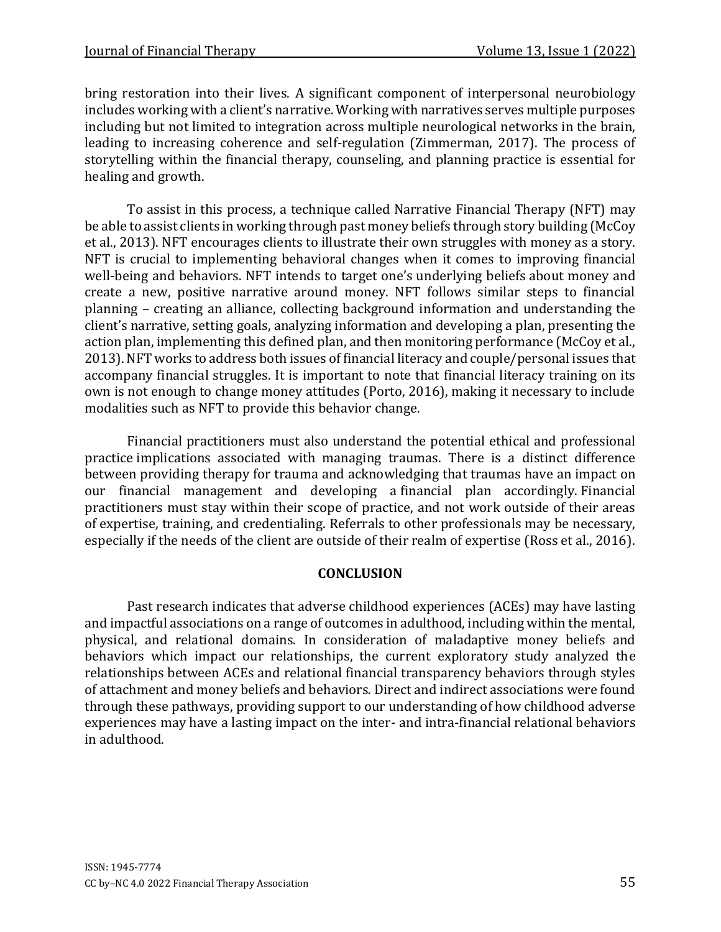bring restoration into their lives. A significant component of interpersonal neurobiology includes working with a client's narrative. Working with narratives serves multiple purposes including but not limited to integration across multiple neurological networks in the brain, leading to increasing coherence and self-regulation (Zimmerman, 2017). The process of storytelling within the financial therapy, counseling, and planning practice is essential for healing and growth.

To assist in this process, a technique called Narrative Financial Therapy (NFT) may be able to assist clients in working through past money beliefs through story building (McCoy et al., 2013). NFT encourages clients to illustrate their own struggles with money as a story. NFT is crucial to implementing behavioral changes when it comes to improving financial well-being and behaviors. NFT intends to target one's underlying beliefs about money and create a new, positive narrative around money. NFT follows similar steps to financial planning – creating an alliance, collecting background information and understanding the client's narrative, setting goals, analyzing information and developing a plan, presenting the action plan, implementing this defined plan, and then monitoring performance (McCoy et al., 2013). NFT works to address both issues of financial literacy and couple/personal issues that accompany financial struggles. It is important to note that financial literacy training on its own is not enough to change money attitudes (Porto, 2016), making it necessary to include modalities such as NFT to provide this behavior change.

Financial practitioners must also understand the potential ethical and professional practice implications associated with managing traumas. There is a distinct difference between providing therapy for trauma and acknowledging that traumas have an impact on our financial management and developing a financial plan accordingly. Financial practitioners must stay within their scope of practice, and not work outside of their areas of expertise, training, and credentialing. Referrals to other professionals may be necessary, especially if the needs of the client are outside of their realm of expertise (Ross et al., 2016).

#### **CONCLUSION**

Past research indicates that adverse childhood experiences (ACEs) may have lasting and impactful associations on a range of outcomes in adulthood, including within the mental, physical, and relational domains. In consideration of maladaptive money beliefs and behaviors which impact our relationships, the current exploratory study analyzed the relationships between ACEs and relational financial transparency behaviors through styles of attachment and money beliefs and behaviors. Direct and indirect associations were found through these pathways, providing support to our understanding of how childhood adverse experiences may have a lasting impact on the inter- and intra-financial relational behaviors in adulthood.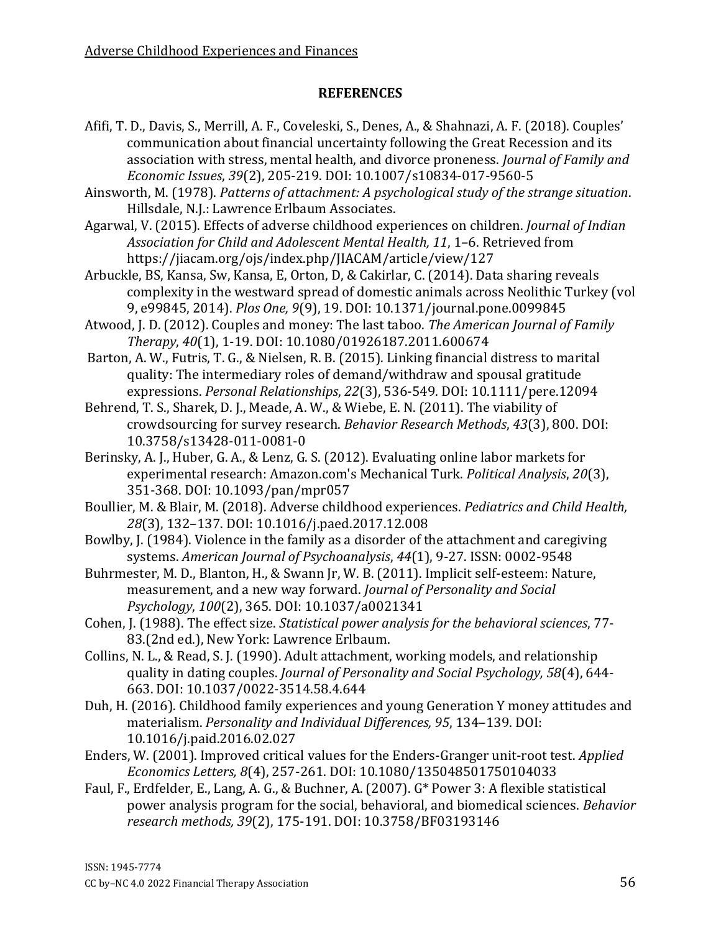### **REFERENCES**

- Afifi, T. D., Davis, S., Merrill, A. F., Coveleski, S., Denes, A., & Shahnazi, A. F. (2018). Couples' communication about financial uncertainty following the Great Recession and its association with stress, mental health, and divorce proneness. *Journal of Family and Economic Issues*, *39*(2), 205-219. DOI: 10.1007/s10834-017-9560-5
- Ainsworth, M. (1978). *Patterns of attachment: A psychological study of the strange situation*. Hillsdale, N.J.: Lawrence Erlbaum Associates.
- Agarwal, V. (2015). Effects of adverse childhood experiences on children. *Journal of Indian Association for Child and Adolescent Mental Health, 11*, 1–6. Retrieved from https://jiacam.org/ojs/index.php/JIACAM/article/view/127
- Arbuckle, BS, Kansa, Sw, Kansa, E, Orton, D, & Cakirlar, C. (2014). Data sharing reveals complexity in the westward spread of domestic animals across Neolithic Turkey (vol 9, e99845, 2014). *Plos One, 9*(9), 19. DOI: 10.1371/journal.pone.0099845
- Atwood, J. D. (2012). Couples and money: The last taboo. *The American Journal of Family Therapy*, *40*(1), 1-19. DOI: 10.1080/01926187.2011.600674
- Barton, A. W., Futris, T. G., & Nielsen, R. B. (2015). Linking financial distress to marital quality: The intermediary roles of demand/withdraw and spousal gratitude expressions. *Personal Relationships*, *22*(3), 536-549. DOI: 10.1111/pere.12094
- Behrend, T. S., Sharek, D. J., Meade, A. W., & Wiebe, E. N. (2011). The viability of crowdsourcing for survey research. *Behavior Research Methods*, *43*(3), 800. DOI: 10.3758/s13428-011-0081-0
- Berinsky, A. J., Huber, G. A., & Lenz, G. S. (2012). Evaluating online labor markets for experimental research: Amazon.com's Mechanical Turk. *Political Analysis*, *20*(3), 351-368. DOI: 10.1093/pan/mpr057
- Boullier, M. & Blair, M. (2018). Adverse childhood experiences. *Pediatrics and Child Health, 28*(3), 132–137. DOI: 10.1016/j.paed.2017.12.008
- Bowlby, J. (1984). Violence in the family as a disorder of the attachment and caregiving systems. *American Journal of Psychoanalysis*, *44*(1), 9-27. ISSN: 0002-9548
- Buhrmester, M. D., Blanton, H., & Swann Jr, W. B. (2011). Implicit self-esteem: Nature, measurement, and a new way forward. *Journal of Personality and Social Psychology*, *100*(2), 365. DOI: 10.1037/a0021341
- Cohen, J. (1988). The effect size. *Statistical power analysis for the behavioral sciences*, 77- 83.(2nd ed.), New York: Lawrence Erlbaum.
- Collins, N. L., & Read, S. J. (1990). Adult attachment, working models, and relationship quality in dating couples. *Journal of Personality and Social Psychology, 58*(4), 644- 663. DOI: 10.1037/0022-3514.58.4.644
- Duh, H. (2016). Childhood family experiences and young Generation Y money attitudes and materialism. *Personality and Individual Differences, 95*, 134–139. DOI: 10.1016/j.paid.2016.02.027
- Enders, W. (2001). Improved critical values for the Enders-Granger unit-root test. *Applied Economics Letters, 8*(4), 257-261. DOI: 10.1080/135048501750104033
- Faul, F., Erdfelder, E., Lang, A. G., & Buchner, A. (2007). G\* Power 3: A flexible statistical power analysis program for the social, behavioral, and biomedical sciences. *Behavior research methods, 39*(2), 175-191. DOI: 10.3758/BF03193146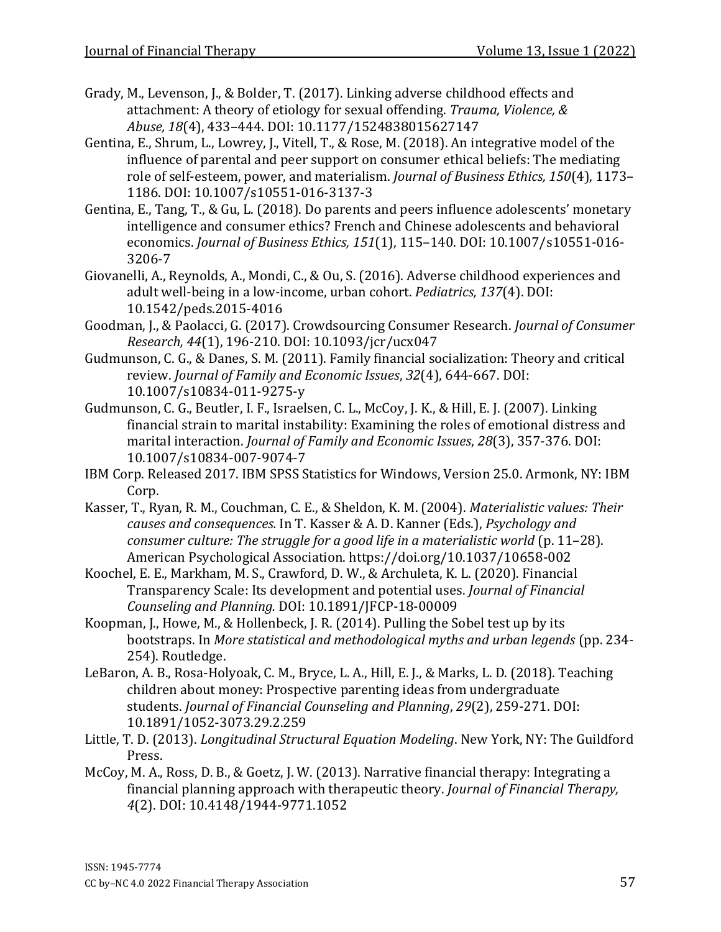Grady, M., Levenson, J., & Bolder, T. (2017). Linking adverse childhood effects and attachment: A theory of etiology for sexual offending. *Trauma, Violence, & Abuse, 18*(4), 433–444. DOI: 10.1177/1524838015627147

- Gentina, E., Shrum, L., Lowrey, J., Vitell, T., & Rose, M. (2018). An integrative model of the influence of parental and peer support on consumer ethical beliefs: The mediating role of self-esteem, power, and materialism. *Journal of Business Ethics, 150*(4), 1173– 1186. DOI: 10.1007/s10551-016-3137-3
- Gentina, E., Tang, T., & Gu, L. (2018). Do parents and peers influence adolescents' monetary intelligence and consumer ethics? French and Chinese adolescents and behavioral economics. *Journal of Business Ethics, 151*(1), 115–140. DOI: 10.1007/s10551-016- 3206-7
- Giovanelli, A., Reynolds, A., Mondi, C., & Ou, S. (2016). Adverse childhood experiences and adult well-being in a low-income, urban cohort. *Pediatrics, 137*(4). DOI: 10.1542/peds.2015-4016
- Goodman, J., & Paolacci, G. (2017). Crowdsourcing Consumer Research. *Journal of Consumer Research, 44*(1), 196-210. DOI: 10.1093/jcr/ucx047
- Gudmunson, C. G., & Danes, S. M. (2011). Family financial socialization: Theory and critical review. *Journal of Family and Economic Issues*, *32*(4), 644-667. DOI: 10.1007/s10834-011-9275-y
- Gudmunson, C. G., Beutler, I. F., Israelsen, C. L., McCoy, J. K., & Hill, E. J. (2007). Linking financial strain to marital instability: Examining the roles of emotional distress and marital interaction. *Journal of Family and Economic Issues*, *28*(3), 357-376. DOI: 10.1007/s10834-007-9074-7
- IBM Corp. Released 2017. IBM SPSS Statistics for Windows, Version 25.0. Armonk, NY: IBM Corp.
- Kasser, T., Ryan, R. M., Couchman, C. E., & Sheldon, K. M. (2004). *Materialistic values: Their causes and consequences.* In T. Kasser & A. D. Kanner (Eds.), *Psychology and consumer culture: The struggle for a good life in a materialistic world* (p. 11–28). American Psychological Association. [https://doi.org/10.1037/10658-002](https://psycnet.apa.org/doi/10.1037/10658-002)
- Koochel, E. E., Markham, M. S., Crawford, D. W., & Archuleta, K. L. (2020). Financial Transparency Scale: Its development and potential uses. *Journal of Financial Counseling and Planning.* DOI: 10.1891/JFCP-18-00009
- Koopman, J., Howe, M., & Hollenbeck, J. R. (2014). Pulling the Sobel test up by its bootstraps. In *More statistical and methodological myths and urban legends* (pp. 234- 254). Routledge.
- LeBaron, A. B., Rosa-Holyoak, C. M., Bryce, L. A., Hill, E. J., & Marks, L. D. (2018). Teaching children about money: Prospective parenting ideas from undergraduate students. *Journal of Financial Counseling and Planning*, *29*(2), 259-271. DOI: 10.1891/1052-3073.29.2.259
- Little, T. D. (2013). *Longitudinal Structural Equation Modeling*. New York, NY: The Guildford Press.
- McCoy, M. A., Ross, D. B., & Goetz, J. W. (2013). Narrative financial therapy: Integrating a financial planning approach with therapeutic theory. *Journal of Financial Therapy, 4*(2). DOI: 10.4148/1944-9771.1052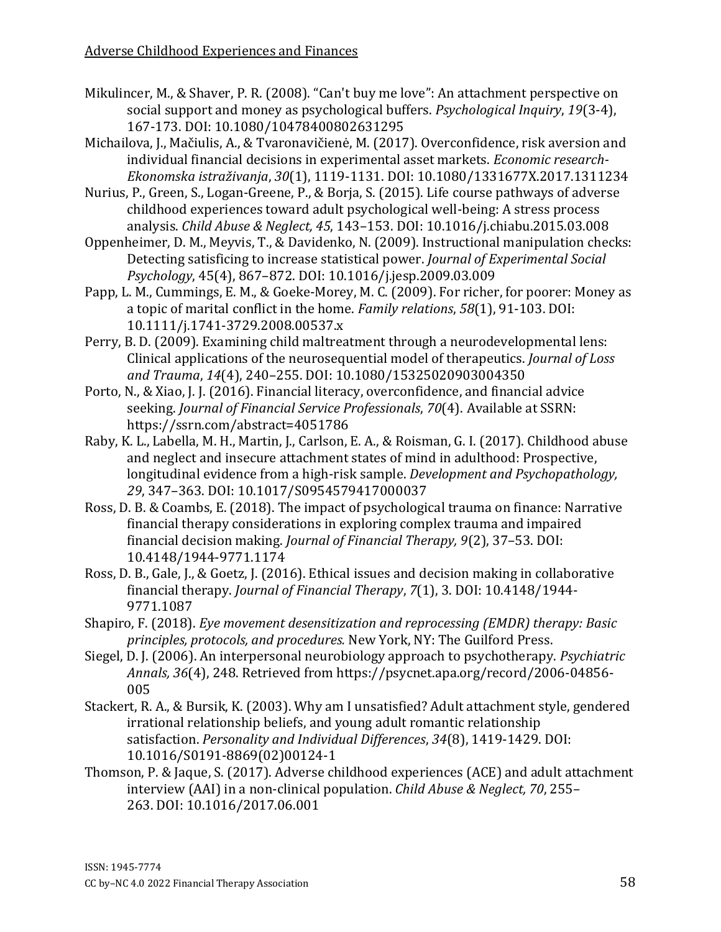- Mikulincer, M., & Shaver, P. R. (2008). "Can't buy me love": An attachment perspective on social support and money as psychological buffers. *Psychological Inquiry*, *19*(3-4), 167-173. DOI: 10.1080/10478400802631295
- Michailova, J., Mačiulis, A., & Tvaronavičienė, M. (2017). Overconfidence, risk aversion and individual financial decisions in experimental asset markets. *Economic research-Ekonomska istraživanja*, *30*(1), 1119-1131. DOI: 10.1080/1331677X.2017.1311234
- Nurius, P., Green, S., Logan-Greene, P., & Borja, S. (2015). Life course pathways of adverse childhood experiences toward adult psychological well-being: A stress process analysis. *Child Abuse & Neglect, 45*, 143–153. DOI: 10.1016/j.chiabu.2015.03.008
- Oppenheimer, D. M., Meyvis, T., & Davidenko, N. (2009). Instructional manipulation checks: Detecting satisficing to increase statistical power. *Journal of Experimental Social Psychology*, 45(4), 867–872. DOI: 10.1016/j.jesp.2009.03.009
- Papp, L. M., Cummings, E. M., & Goeke‐Morey, M. C. (2009). For richer, for poorer: Money as a topic of marital conflict in the home. *Family relations*, *58*(1), 91-103. DOI: 10.1111/j.1741-3729.2008.00537.x
- Perry, B. D. (2009). Examining child maltreatment through a neurodevelopmental lens: Clinical applications of the neurosequential model of therapeutics. *Journal of Loss and Trauma*, *14*(4), 240–255. DOI: 10.1080/15325020903004350
- Porto, N., & Xiao, J. J. (2016). Financial literacy, overconfidence, and financial advice seeking. *Journal of Financial Service Professionals*, *70*(4). Available at SSRN: https://ssrn.com/abstract=4051786
- Raby, K. L., Labella, M. H., Martin, J., Carlson, E. A., & Roisman, G. I. (2017). Childhood abuse and neglect and insecure attachment states of mind in adulthood: Prospective, longitudinal evidence from a high-risk sample. *Development and Psychopathology, 29*, 347–363. DOI: 10.1017/S0954579417000037
- Ross, D. B. & Coambs, E. (2018). The impact of psychological trauma on finance: Narrative financial therapy considerations in exploring complex trauma and impaired financial decision making. *Journal of Financial Therapy, 9*(2), 37–53. DOI: 10.4148/1944-9771.1174
- Ross, D. B., Gale, J., & Goetz, J. (2016). Ethical issues and decision making in collaborative financial therapy. *Journal of Financial Therapy*, *7*(1), 3. DOI: 10.4148/1944- 9771.1087
- Shapiro, F. (2018). *Eye movement desensitization and reprocessing (EMDR) therapy: Basic principles, protocols, and procedures.* New York, NY: The Guilford Press.
- Siegel, D. J. (2006). An interpersonal neurobiology approach to psychotherapy. *Psychiatric Annals, 36*(4), 248. Retrieved from https://psycnet.apa.org/record/2006-04856- 005
- Stackert, R. A., & Bursik, K. (2003). Why am I unsatisfied? Adult attachment style, gendered irrational relationship beliefs, and young adult romantic relationship satisfaction. *Personality and Individual Differences*, *34*(8), 1419-1429. DOI: 10.1016/S0191-8869(02)00124-1
- Thomson, P. & Jaque, S. (2017). Adverse childhood experiences (ACE) and adult attachment interview (AAI) in a non-clinical population. *Child Abuse & Neglect, 70*, 255– 263. DOI: 10.1016/2017.06.001